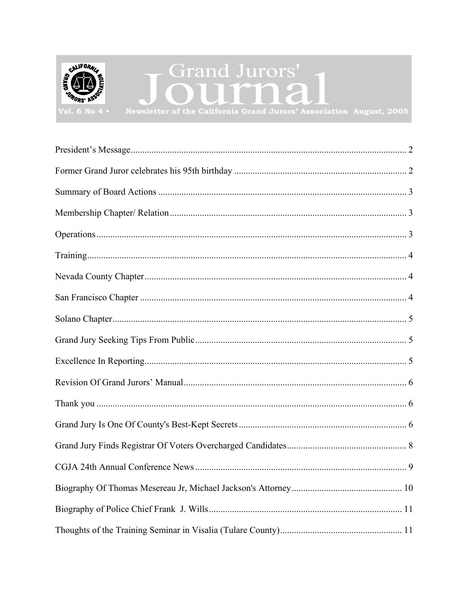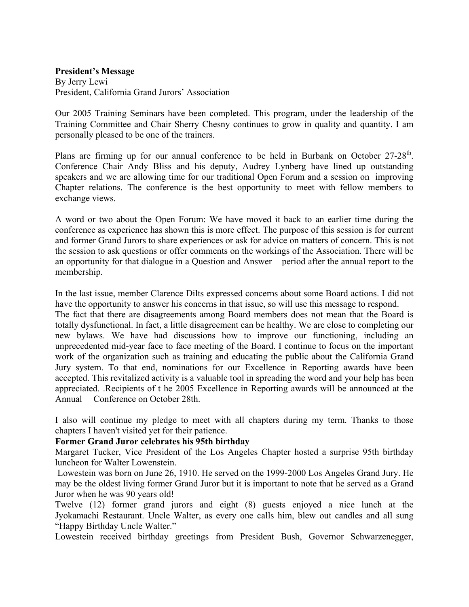#### <span id="page-1-0"></span>**President's Message**

By Jerry Lewi President, California Grand Jurors' Association

Our 2005 Training Seminars have been completed. This program, under the leadership of the Training Committee and Chair Sherry Chesny continues to grow in quality and quantity. I am personally pleased to be one of the trainers.

Plans are firming up for our annual conference to be held in Burbank on October 27-28<sup>th</sup>. Conference Chair Andy Bliss and his deputy, Audrey Lynberg have lined up outstanding speakers and we are allowing time for our traditional Open Forum and a session on improving Chapter relations. The conference is the best opportunity to meet with fellow members to exchange views.

A word or two about the Open Forum: We have moved it back to an earlier time during the conference as experience has shown this is more effect. The purpose of this session is for current and former Grand Jurors to share experiences or ask for advice on matters of concern. This is not the session to ask questions or offer comments on the workings of the Association. There will be an opportunity for that dialogue in a Question and Answer period after the annual report to the membership.

In the last issue, member Clarence Dilts expressed concerns about some Board actions. I did not have the opportunity to answer his concerns in that issue, so will use this message to respond.

The fact that there are disagreements among Board members does not mean that the Board is totally dysfunctional. In fact, a little disagreement can be healthy. We are close to completing our new bylaws. We have had discussions how to improve our functioning, including an unprecedented mid-year face to face meeting of the Board. I continue to focus on the important work of the organization such as training and educating the public about the California Grand Jury system. To that end, nominations for our Excellence in Reporting awards have been accepted. This revitalized activity is a valuable tool in spreading the word and your help has been appreciated. .Recipients of t he 2005 Excellence in Reporting awards will be announced at the Annual Conference on October 28th.

I also will continue my pledge to meet with all chapters during my term. Thanks to those chapters I haven't visited yet for their patience.

#### **Former Grand Juror celebrates his 95th birthday**

Margaret Tucker, Vice President of the Los Angeles Chapter hosted a surprise 95th birthday luncheon for Walter Lowenstein.

 Lowestein was born on June 26, 1910. He served on the 1999-2000 Los Angeles Grand Jury. He may be the oldest living former Grand Juror but it is important to note that he served as a Grand Juror when he was 90 years old!

Twelve (12) former grand jurors and eight (8) guests enjoyed a nice lunch at the Jyokamachi Restaurant. Uncle Walter, as every one calls him, blew out candles and all sung "Happy Birthday Uncle Walter."

Lowestein received birthday greetings from President Bush, Governor Schwarzenegger,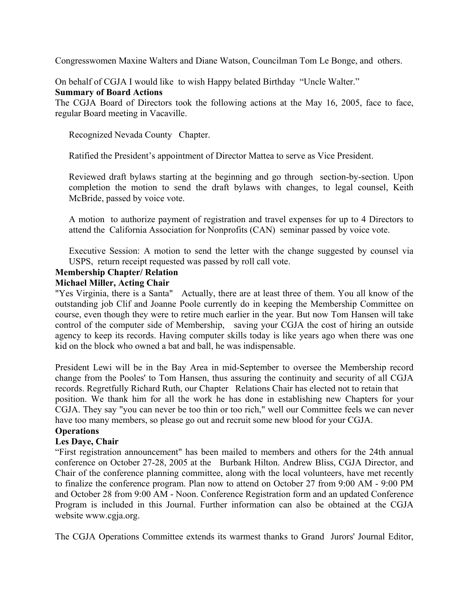<span id="page-2-0"></span>Congresswomen Maxine Walters and Diane Watson, Councilman Tom Le Bonge, and others.

On behalf of CGJA I would like to wish Happy belated Birthday "Uncle Walter."

### **Summary of Board Actions**

The CGJA Board of Directors took the following actions at the May 16, 2005, face to face, regular Board meeting in Vacaville.

Recognized Nevada County Chapter.

Ratified the President's appointment of Director Mattea to serve as Vice President.

Reviewed draft bylaws starting at the beginning and go through section-by-section. Upon completion the motion to send the draft bylaws with changes, to legal counsel, Keith McBride, passed by voice vote.

A motion to authorize payment of registration and travel expenses for up to 4 Directors to attend the California Association for Nonprofits (CAN) seminar passed by voice vote.

Executive Session: A motion to send the letter with the change suggested by counsel via USPS, return receipt requested was passed by roll call vote.

### **Membership Chapter/ Relation**

### **Michael Miller, Acting Chair**

"Yes Virginia, there is a Santa" Actually, there are at least three of them. You all know of the outstanding job Clif and Joanne Poole currently do in keeping the Membership Committee on course, even though they were to retire much earlier in the year. But now Tom Hansen will take control of the computer side of Membership, saving your CGJA the cost of hiring an outside agency to keep its records. Having computer skills today is like years ago when there was one kid on the block who owned a bat and ball, he was indispensable.

President Lewi will be in the Bay Area in mid-September to oversee the Membership record change from the Pooles' to Tom Hansen, thus assuring the continuity and security of all CGJA records. Regretfully Richard Ruth, our Chapter Relations Chair has elected not to retain that position. We thank him for all the work he has done in establishing new Chapters for your CGJA. They say "you can never be too thin or too rich," well our Committee feels we can never have too many members, so please go out and recruit some new blood for your CGJA.

# **Operations**

## **Les Daye, Chair**

"First registration announcement" has been mailed to members and others for the 24th annual conference on October 27-28, 2005 at the Burbank Hilton. Andrew Bliss, CGJA Director, and Chair of the conference planning committee, along with the local volunteers, have met recently to finalize the conference program. Plan now to attend on October 27 from 9:00 AM - 9:00 PM and October 28 from 9:00 AM - Noon. Conference Registration form and an updated Conference Program is included in this Journal. Further information can also be obtained at the CGJA website www.cgja.org.

The CGJA Operations Committee extends its warmest thanks to Grand Jurors' Journal Editor,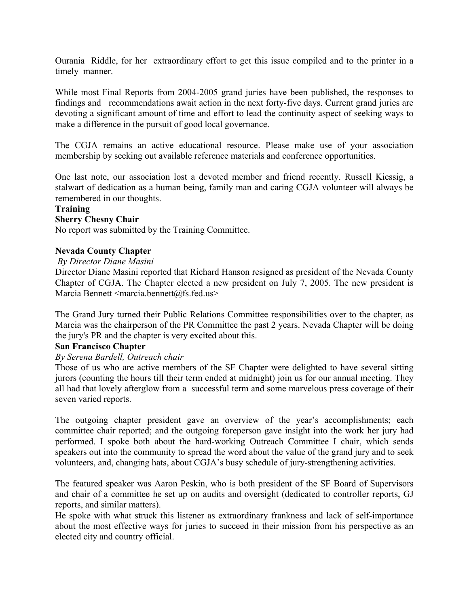<span id="page-3-0"></span>Ourania Riddle, for her extraordinary effort to get this issue compiled and to the printer in a timely manner.

While most Final Reports from 2004-2005 grand juries have been published, the responses to findings and recommendations await action in the next forty-five days. Current grand juries are devoting a significant amount of time and effort to lead the continuity aspect of seeking ways to make a difference in the pursuit of good local governance.

The CGJA remains an active educational resource. Please make use of your association membership by seeking out available reference materials and conference opportunities.

One last note, our association lost a devoted member and friend recently. Russell Kiessig, a stalwart of dedication as a human being, family man and caring CGJA volunteer will always be remembered in our thoughts.

### **Training**

### **Sherry Chesny Chair**

No report was submitted by the Training Committee.

### **Nevada County Chapter**

#### *By Director Diane Masini*

Director Diane Masini reported that Richard Hanson resigned as president of the Nevada County Chapter of CGJA. The Chapter elected a new president on July 7, 2005. The new president is Marcia Bennett  $\leq$ marcia.bennett $(a)$ fs.fed.us>

The Grand Jury turned their Public Relations Committee responsibilities over to the chapter, as Marcia was the chairperson of the PR Committee the past 2 years. Nevada Chapter will be doing the jury's PR and the chapter is very excited about this.

### **San Francisco Chapter**

### *By Serena Bardell, Outreach chair*

Those of us who are active members of the SF Chapter were delighted to have several sitting jurors (counting the hours till their term ended at midnight) join us for our annual meeting. They all had that lovely afterglow from a successful term and some marvelous press coverage of their seven varied reports.

The outgoing chapter president gave an overview of the year's accomplishments; each committee chair reported; and the outgoing foreperson gave insight into the work her jury had performed. I spoke both about the hard-working Outreach Committee I chair, which sends speakers out into the community to spread the word about the value of the grand jury and to seek volunteers, and, changing hats, about CGJA's busy schedule of jury-strengthening activities.

The featured speaker was Aaron Peskin, who is both president of the SF Board of Supervisors and chair of a committee he set up on audits and oversight (dedicated to controller reports, GJ reports, and similar matters).

He spoke with what struck this listener as extraordinary frankness and lack of self-importance about the most effective ways for juries to succeed in their mission from his perspective as an elected city and country official.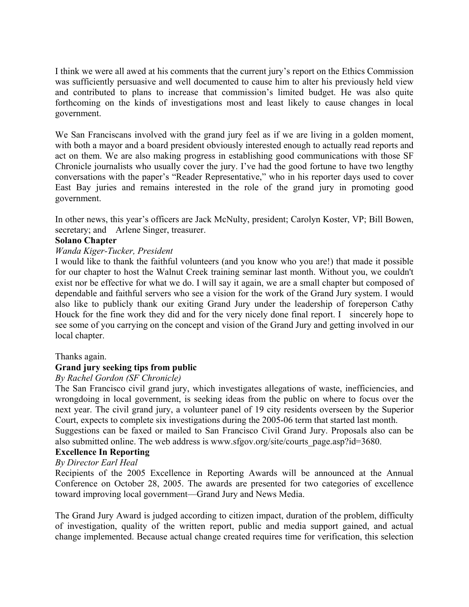<span id="page-4-0"></span>I think we were all awed at his comments that the current jury's report on the Ethics Commission was sufficiently persuasive and well documented to cause him to alter his previously held view and contributed to plans to increase that commission's limited budget. He was also quite forthcoming on the kinds of investigations most and least likely to cause changes in local government.

We San Franciscans involved with the grand jury feel as if we are living in a golden moment, with both a mayor and a board president obviously interested enough to actually read reports and act on them. We are also making progress in establishing good communications with those SF Chronicle journalists who usually cover the jury. I've had the good fortune to have two lengthy conversations with the paper's "Reader Representative," who in his reporter days used to cover East Bay juries and remains interested in the role of the grand jury in promoting good government.

In other news, this year's officers are Jack McNulty, president; Carolyn Koster, VP; Bill Bowen, secretary; and Arlene Singer, treasurer.

### **Solano Chapter**

### *Wanda Kiger-Tucker, President*

I would like to thank the faithful volunteers (and you know who you are!) that made it possible for our chapter to host the Walnut Creek training seminar last month. Without you, we couldn't exist nor be effective for what we do. I will say it again, we are a small chapter but composed of dependable and faithful servers who see a vision for the work of the Grand Jury system. I would also like to publicly thank our exiting Grand Jury under the leadership of foreperson Cathy Houck for the fine work they did and for the very nicely done final report. I sincerely hope to see some of you carrying on the concept and vision of the Grand Jury and getting involved in our local chapter.

### Thanks again.

### **Grand jury seeking tips from public**

### *By Rachel Gordon (SF Chronicle)*

The San Francisco civil grand jury, which investigates allegations of waste, inefficiencies, and wrongdoing in local government, is seeking ideas from the public on where to focus over the next year. The civil grand jury, a volunteer panel of 19 city residents overseen by the Superior Court, expects to complete six investigations during the 2005-06 term that started last month.

Suggestions can be faxed or mailed to San Francisco Civil Grand Jury. Proposals also can be also submitted online. The web address is www.sfgov.org/site/courts\_page.asp?id=3680.

#### **Excellence In Reporting**

### *By Director Earl Heal*

Recipients of the 2005 Excellence in Reporting Awards will be announced at the Annual Conference on October 28, 2005. The awards are presented for two categories of excellence toward improving local government—Grand Jury and News Media.

The Grand Jury Award is judged according to citizen impact, duration of the problem, difficulty of investigation, quality of the written report, public and media support gained, and actual change implemented. Because actual change created requires time for verification, this selection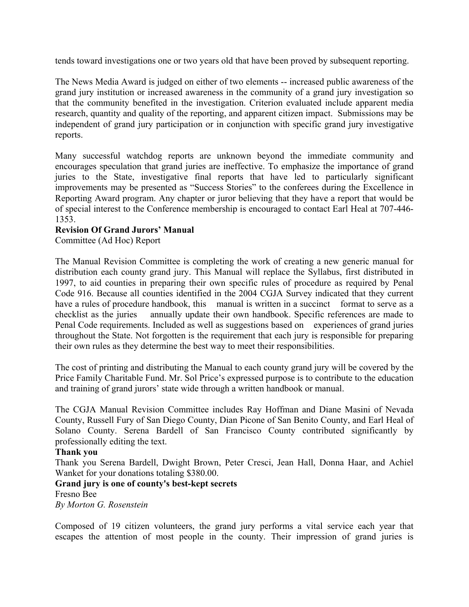<span id="page-5-0"></span>tends toward investigations one or two years old that have been proved by subsequent reporting.

The News Media Award is judged on either of two elements -- increased public awareness of the grand jury institution or increased awareness in the community of a grand jury investigation so that the community benefited in the investigation. Criterion evaluated include apparent media research, quantity and quality of the reporting, and apparent citizen impact. Submissions may be independent of grand jury participation or in conjunction with specific grand jury investigative reports.

Many successful watchdog reports are unknown beyond the immediate community and encourages speculation that grand juries are ineffective. To emphasize the importance of grand juries to the State, investigative final reports that have led to particularly significant improvements may be presented as "Success Stories" to the conferees during the Excellence in Reporting Award program. Any chapter or juror believing that they have a report that would be of special interest to the Conference membership is encouraged to contact Earl Heal at 707-446- 1353.

### **Revision Of Grand Jurors' Manual**

Committee (Ad Hoc) Report

The Manual Revision Committee is completing the work of creating a new generic manual for distribution each county grand jury. This Manual will replace the Syllabus, first distributed in 1997, to aid counties in preparing their own specific rules of procedure as required by Penal Code 916. Because all counties identified in the 2004 CGJA Survey indicated that they current have a rules of procedure handbook, this manual is written in a succinct format to serve as a checklist as the juries annually update their own handbook. Specific references are made to Penal Code requirements. Included as well as suggestions based on experiences of grand juries throughout the State. Not forgotten is the requirement that each jury is responsible for preparing their own rules as they determine the best way to meet their responsibilities.

The cost of printing and distributing the Manual to each county grand jury will be covered by the Price Family Charitable Fund. Mr. Sol Price's expressed purpose is to contribute to the education and training of grand jurors' state wide through a written handbook or manual.

The CGJA Manual Revision Committee includes Ray Hoffman and Diane Masini of Nevada County, Russell Fury of San Diego County, Dian Picone of San Benito County, and Earl Heal of Solano County. Serena Bardell of San Francisco County contributed significantly by professionally editing the text.

### **Thank you**

Thank you Serena Bardell, Dwight Brown, Peter Cresci, Jean Hall, Donna Haar, and Achiel Wanket for your donations totaling \$380.00.

### **Grand jury is one of county's best-kept secrets**

Fresno Bee

*By Morton G. Rosenstein*

Composed of 19 citizen volunteers, the grand jury performs a vital service each year that escapes the attention of most people in the county. Their impression of grand juries is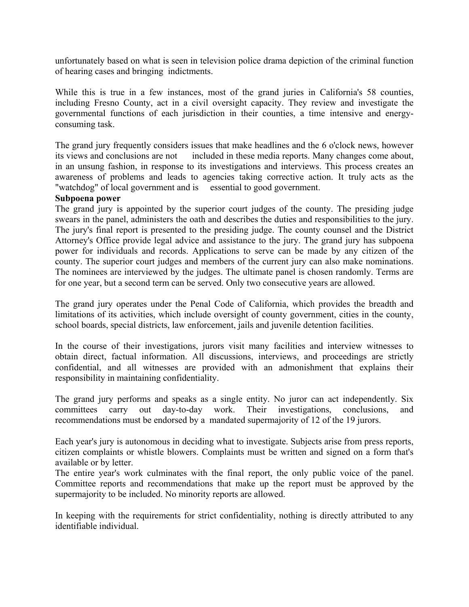unfortunately based on what is seen in television police drama depiction of the criminal function of hearing cases and bringing indictments.

While this is true in a few instances, most of the grand juries in California's 58 counties, including Fresno County, act in a civil oversight capacity. They review and investigate the governmental functions of each jurisdiction in their counties, a time intensive and energyconsuming task.

The grand jury frequently considers issues that make headlines and the 6 o'clock news, however its views and conclusions are not included in these media reports. Many changes come about, in an unsung fashion, in response to its investigations and interviews. This process creates an awareness of problems and leads to agencies taking corrective action. It truly acts as the "watchdog" of local government and is essential to good government.

### **Subpoena power**

The grand jury is appointed by the superior court judges of the county. The presiding judge swears in the panel, administers the oath and describes the duties and responsibilities to the jury. The jury's final report is presented to the presiding judge. The county counsel and the District Attorney's Office provide legal advice and assistance to the jury. The grand jury has subpoena power for individuals and records. Applications to serve can be made by any citizen of the county. The superior court judges and members of the current jury can also make nominations. The nominees are interviewed by the judges. The ultimate panel is chosen randomly. Terms are for one year, but a second term can be served. Only two consecutive years are allowed.

The grand jury operates under the Penal Code of California, which provides the breadth and limitations of its activities, which include oversight of county government, cities in the county, school boards, special districts, law enforcement, jails and juvenile detention facilities.

In the course of their investigations, jurors visit many facilities and interview witnesses to obtain direct, factual information. All discussions, interviews, and proceedings are strictly confidential, and all witnesses are provided with an admonishment that explains their responsibility in maintaining confidentiality.

The grand jury performs and speaks as a single entity. No juror can act independently. Six committees carry out day-to-day work. Their investigations, conclusions, and recommendations must be endorsed by a mandated supermajority of 12 of the 19 jurors.

Each year's jury is autonomous in deciding what to investigate. Subjects arise from press reports, citizen complaints or whistle blowers. Complaints must be written and signed on a form that's available or by letter.

The entire year's work culminates with the final report, the only public voice of the panel. Committee reports and recommendations that make up the report must be approved by the supermajority to be included. No minority reports are allowed.

In keeping with the requirements for strict confidentiality, nothing is directly attributed to any identifiable individual.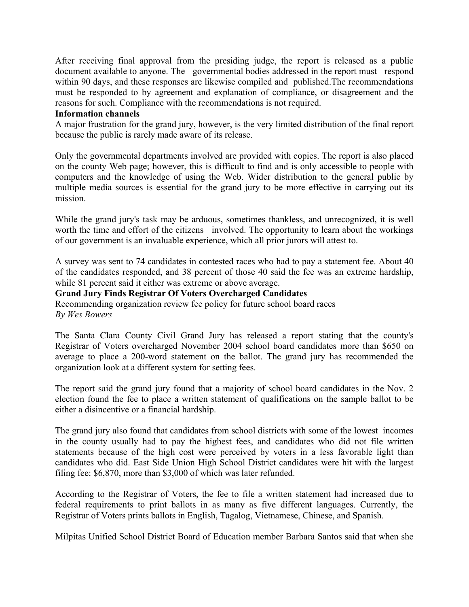<span id="page-7-0"></span>After receiving final approval from the presiding judge, the report is released as a public document available to anyone. The governmental bodies addressed in the report must respond within 90 days, and these responses are likewise compiled and published.The recommendations must be responded to by agreement and explanation of compliance, or disagreement and the reasons for such. Compliance with the recommendations is not required.

#### **Information channels**

A major frustration for the grand jury, however, is the very limited distribution of the final report because the public is rarely made aware of its release.

Only the governmental departments involved are provided with copies. The report is also placed on the county Web page; however, this is difficult to find and is only accessible to people with computers and the knowledge of using the Web. Wider distribution to the general public by multiple media sources is essential for the grand jury to be more effective in carrying out its mission.

While the grand jury's task may be arduous, sometimes thankless, and unrecognized, it is well worth the time and effort of the citizens involved. The opportunity to learn about the workings of our government is an invaluable experience, which all prior jurors will attest to.

A survey was sent to 74 candidates in contested races who had to pay a statement fee. About 40 of the candidates responded, and 38 percent of those 40 said the fee was an extreme hardship, while 81 percent said it either was extreme or above average.

### **Grand Jury Finds Registrar Of Voters Overcharged Candidates**

Recommending organization review fee policy for future school board races *By Wes Bowers* 

The Santa Clara County Civil Grand Jury has released a report stating that the county's Registrar of Voters overcharged November 2004 school board candidates more than \$650 on average to place a 200-word statement on the ballot. The grand jury has recommended the organization look at a different system for setting fees.

The report said the grand jury found that a majority of school board candidates in the Nov. 2 election found the fee to place a written statement of qualifications on the sample ballot to be either a disincentive or a financial hardship.

The grand jury also found that candidates from school districts with some of the lowest incomes in the county usually had to pay the highest fees, and candidates who did not file written statements because of the high cost were perceived by voters in a less favorable light than candidates who did. East Side Union High School District candidates were hit with the largest filing fee: \$6,870, more than \$3,000 of which was later refunded.

According to the Registrar of Voters, the fee to file a written statement had increased due to federal requirements to print ballots in as many as five different languages. Currently, the Registrar of Voters prints ballots in English, Tagalog, Vietnamese, Chinese, and Spanish.

Milpitas Unified School District Board of Education member Barbara Santos said that when she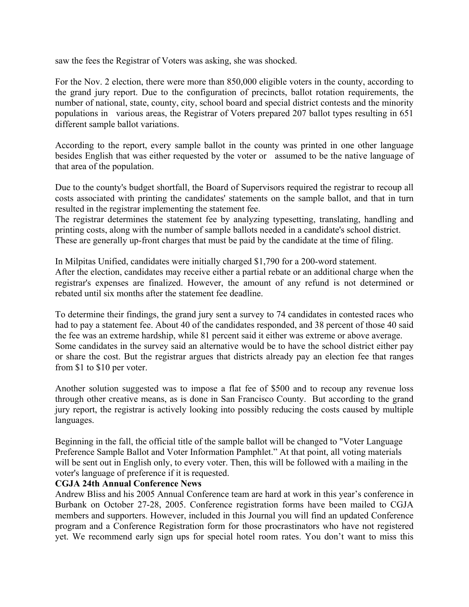<span id="page-8-0"></span>saw the fees the Registrar of Voters was asking, she was shocked.

For the Nov. 2 election, there were more than 850,000 eligible voters in the county, according to the grand jury report. Due to the configuration of precincts, ballot rotation requirements, the number of national, state, county, city, school board and special district contests and the minority populations in various areas, the Registrar of Voters prepared 207 ballot types resulting in 651 different sample ballot variations.

According to the report, every sample ballot in the county was printed in one other language besides English that was either requested by the voter or assumed to be the native language of that area of the population.

Due to the county's budget shortfall, the Board of Supervisors required the registrar to recoup all costs associated with printing the candidates' statements on the sample ballot, and that in turn resulted in the registrar implementing the statement fee.

The registrar determines the statement fee by analyzing typesetting, translating, handling and printing costs, along with the number of sample ballots needed in a candidate's school district. These are generally up-front charges that must be paid by the candidate at the time of filing.

In Milpitas Unified, candidates were initially charged \$1,790 for a 200-word statement. After the election, candidates may receive either a partial rebate or an additional charge when the registrar's expenses are finalized. However, the amount of any refund is not determined or rebated until six months after the statement fee deadline.

To determine their findings, the grand jury sent a survey to 74 candidates in contested races who had to pay a statement fee. About 40 of the candidates responded, and 38 percent of those 40 said the fee was an extreme hardship, while 81 percent said it either was extreme or above average. Some candidates in the survey said an alternative would be to have the school district either pay or share the cost. But the registrar argues that districts already pay an election fee that ranges from \$1 to \$10 per voter.

Another solution suggested was to impose a flat fee of \$500 and to recoup any revenue loss through other creative means, as is done in San Francisco County. But according to the grand jury report, the registrar is actively looking into possibly reducing the costs caused by multiple languages.

Beginning in the fall, the official title of the sample ballot will be changed to "Voter Language Preference Sample Ballot and Voter Information Pamphlet." At that point, all voting materials will be sent out in English only, to every voter. Then, this will be followed with a mailing in the voter's language of preference if it is requested.

### **CGJA 24th Annual Conference News**

Andrew Bliss and his 2005 Annual Conference team are hard at work in this year's conference in Burbank on October 27-28, 2005. Conference registration forms have been mailed to CGJA members and supporters. However, included in this Journal you will find an updated Conference program and a Conference Registration form for those procrastinators who have not registered yet. We recommend early sign ups for special hotel room rates. You don't want to miss this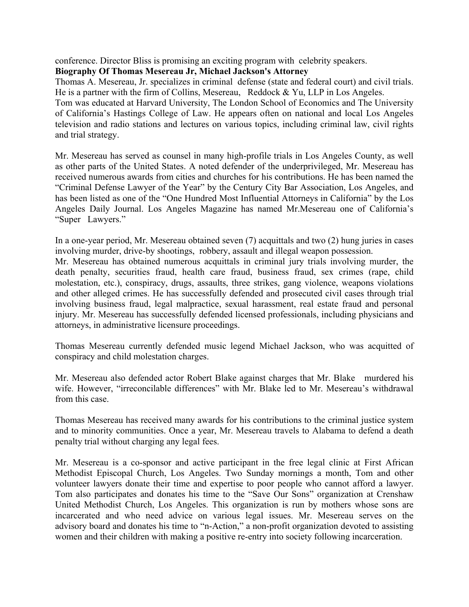<span id="page-9-0"></span>conference. Director Bliss is promising an exciting program with celebrity speakers.

## **Biography Of Thomas Mesereau Jr, Michael Jackson's Attorney**

Thomas A. Mesereau, Jr. specializes in criminal defense (state and federal court) and civil trials. He is a partner with the firm of Collins, Mesereau, Reddock & Yu, LLP in Los Angeles. Tom was educated at Harvard University, The London School of Economics and The University of California's Hastings College of Law. He appears often on national and local Los Angeles television and radio stations and lectures on various topics, including criminal law, civil rights and trial strategy.

Mr. Mesereau has served as counsel in many high-profile trials in Los Angeles County, as well as other parts of the United States. A noted defender of the underprivileged, Mr. Mesereau has received numerous awards from cities and churches for his contributions. He has been named the "Criminal Defense Lawyer of the Year" by the Century City Bar Association, Los Angeles, and has been listed as one of the "One Hundred Most Influential Attorneys in California" by the Los Angeles Daily Journal. Los Angeles Magazine has named Mr.Mesereau one of California's "Super Lawyers."

In a one-year period, Mr. Mesereau obtained seven (7) acquittals and two (2) hung juries in cases involving murder, drive-by shootings, robbery, assault and illegal weapon possession.

Mr. Mesereau has obtained numerous acquittals in criminal jury trials involving murder, the death penalty, securities fraud, health care fraud, business fraud, sex crimes (rape, child molestation, etc.), conspiracy, drugs, assaults, three strikes, gang violence, weapons violations and other alleged crimes. He has successfully defended and prosecuted civil cases through trial involving business fraud, legal malpractice, sexual harassment, real estate fraud and personal injury. Mr. Mesereau has successfully defended licensed professionals, including physicians and attorneys, in administrative licensure proceedings.

Thomas Mesereau currently defended music legend Michael Jackson, who was acquitted of conspiracy and child molestation charges.

Mr. Mesereau also defended actor Robert Blake against charges that Mr. Blake murdered his wife. However, "irreconcilable differences" with Mr. Blake led to Mr. Mesereau's withdrawal from this case.

Thomas Mesereau has received many awards for his contributions to the criminal justice system and to minority communities. Once a year, Mr. Mesereau travels to Alabama to defend a death penalty trial without charging any legal fees.

Mr. Mesereau is a co-sponsor and active participant in the free legal clinic at First African Methodist Episcopal Church, Los Angeles. Two Sunday mornings a month, Tom and other volunteer lawyers donate their time and expertise to poor people who cannot afford a lawyer. Tom also participates and donates his time to the "Save Our Sons" organization at Crenshaw United Methodist Church, Los Angeles. This organization is run by mothers whose sons are incarcerated and who need advice on various legal issues. Mr. Mesereau serves on the advisory board and donates his time to "n-Action," a non-profit organization devoted to assisting women and their children with making a positive re-entry into society following incarceration.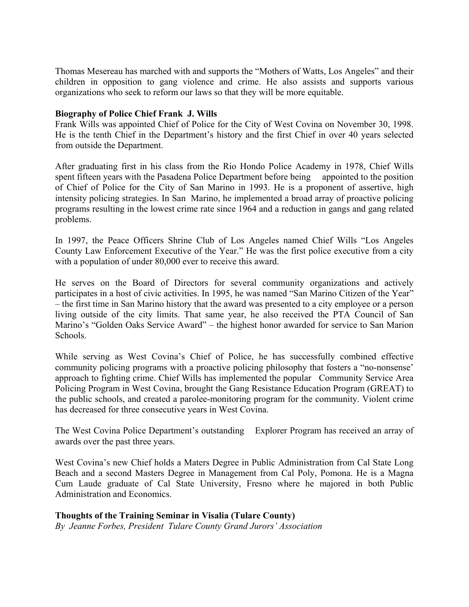<span id="page-10-0"></span>Thomas Mesereau has marched with and supports the "Mothers of Watts, Los Angeles" and their children in opposition to gang violence and crime. He also assists and supports various organizations who seek to reform our laws so that they will be more equitable.

### **Biography of Police Chief Frank J. Wills**

Frank Wills was appointed Chief of Police for the City of West Covina on November 30, 1998. He is the tenth Chief in the Department's history and the first Chief in over 40 years selected from outside the Department.

After graduating first in his class from the Rio Hondo Police Academy in 1978, Chief Wills spent fifteen years with the Pasadena Police Department before being appointed to the position of Chief of Police for the City of San Marino in 1993. He is a proponent of assertive, high intensity policing strategies. In San Marino, he implemented a broad array of proactive policing programs resulting in the lowest crime rate since 1964 and a reduction in gangs and gang related problems.

In 1997, the Peace Officers Shrine Club of Los Angeles named Chief Wills "Los Angeles County Law Enforcement Executive of the Year." He was the first police executive from a city with a population of under 80,000 ever to receive this award.

He serves on the Board of Directors for several community organizations and actively participates in a host of civic activities. In 1995, he was named "San Marino Citizen of the Year" – the first time in San Marino history that the award was presented to a city employee or a person living outside of the city limits. That same year, he also received the PTA Council of San Marino's "Golden Oaks Service Award" – the highest honor awarded for service to San Marion **Schools**.

While serving as West Covina's Chief of Police, he has successfully combined effective community policing programs with a proactive policing philosophy that fosters a "no-nonsense' approach to fighting crime. Chief Wills has implemented the popular Community Service Area Policing Program in West Covina, brought the Gang Resistance Education Program (GREAT) to the public schools, and created a parolee-monitoring program for the community. Violent crime has decreased for three consecutive years in West Covina.

The West Covina Police Department's outstanding Explorer Program has received an array of awards over the past three years.

West Covina's new Chief holds a Maters Degree in Public Administration from Cal State Long Beach and a second Masters Degree in Management from Cal Poly, Pomona. He is a Magna Cum Laude graduate of Cal State University, Fresno where he majored in both Public Administration and Economics.

### **Thoughts of the Training Seminar in Visalia (Tulare County)**

*By Jeanne Forbes, President Tulare County Grand Jurors' Association*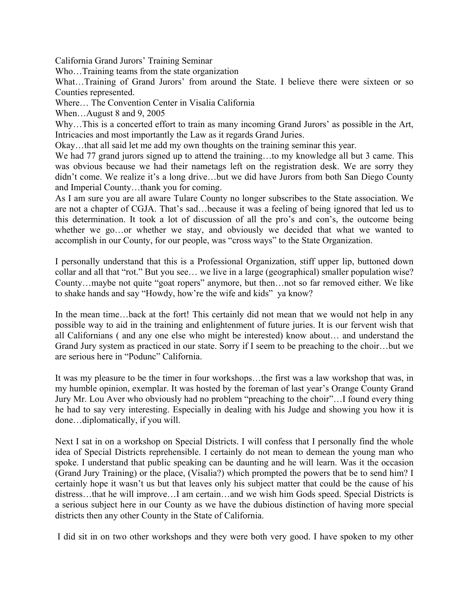California Grand Jurors' Training Seminar

Who…Training teams from the state organization

What...Training of Grand Jurors' from around the State. I believe there were sixteen or so Counties represented.

Where… The Convention Center in Visalia California

When...August 8 and 9, 2005

Why…This is a concerted effort to train as many incoming Grand Jurors' as possible in the Art, Intricacies and most importantly the Law as it regards Grand Juries.

Okay…that all said let me add my own thoughts on the training seminar this year.

We had 77 grand jurors signed up to attend the training...to my knowledge all but 3 came. This was obvious because we had their nametags left on the registration desk. We are sorry they didn't come. We realize it's a long drive…but we did have Jurors from both San Diego County and Imperial County…thank you for coming.

As I am sure you are all aware Tulare County no longer subscribes to the State association. We are not a chapter of CGJA. That's sad…because it was a feeling of being ignored that led us to this determination. It took a lot of discussion of all the pro's and con's, the outcome being whether we go...or whether we stay, and obviously we decided that what we wanted to accomplish in our County, for our people, was "cross ways" to the State Organization.

I personally understand that this is a Professional Organization, stiff upper lip, buttoned down collar and all that "rot." But you see… we live in a large (geographical) smaller population wise? County…maybe not quite "goat ropers" anymore, but then…not so far removed either. We like to shake hands and say "Howdy, how're the wife and kids" ya know?

In the mean time...back at the fort! This certainly did not mean that we would not help in any possible way to aid in the training and enlightenment of future juries. It is our fervent wish that all Californians ( and any one else who might be interested) know about… and understand the Grand Jury system as practiced in our state. Sorry if I seem to be preaching to the choir…but we are serious here in "Podunc" California.

It was my pleasure to be the timer in four workshops…the first was a law workshop that was, in my humble opinion, exemplar. It was hosted by the foreman of last year's Orange County Grand Jury Mr. Lou Aver who obviously had no problem "preaching to the choir"…I found every thing he had to say very interesting. Especially in dealing with his Judge and showing you how it is done…diplomatically, if you will.

Next I sat in on a workshop on Special Districts. I will confess that I personally find the whole idea of Special Districts reprehensible. I certainly do not mean to demean the young man who spoke. I understand that public speaking can be daunting and he will learn. Was it the occasion (Grand Jury Training) or the place, (Visalia?) which prompted the powers that be to send him? I certainly hope it wasn't us but that leaves only his subject matter that could be the cause of his distress…that he will improve…I am certain…and we wish him Gods speed. Special Districts is a serious subject here in our County as we have the dubious distinction of having more special districts then any other County in the State of California.

I did sit in on two other workshops and they were both very good. I have spoken to my other